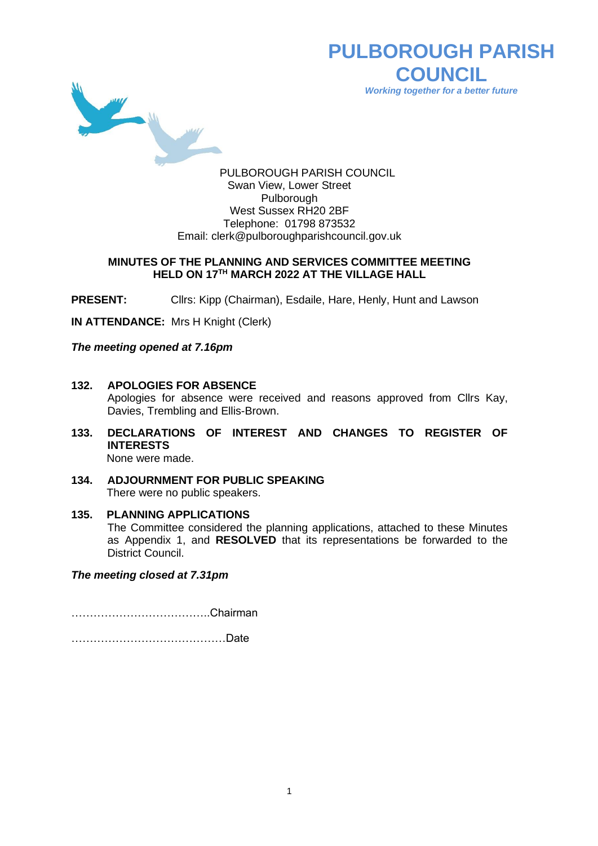

**PULBOROUGH PARISH COUNCIL** *Working together for a better future*

PULBOROUGH PARISH COUNCIL Swan View, Lower Street Pulborough West Sussex RH20 2BF Telephone: 01798 873532 Email: [clerk@pulboroughparishcouncil.gov.uk](mailto:clerk@pulboroughparishcouncil.gov.uk)

## **MINUTES OF THE PLANNING AND SERVICES COMMITTEE MEETING HELD ON 17TH MARCH 2022 AT THE VILLAGE HALL**

**PRESENT:** Cllrs: Kipp (Chairman), Esdaile, Hare, Henly, Hunt and Lawson

**IN ATTENDANCE:** Mrs H Knight (Clerk)

*The meeting opened at 7.16pm*

- **132. APOLOGIES FOR ABSENCE** Apologies for absence were received and reasons approved from Cllrs Kay, Davies, Trembling and Ellis-Brown.
- **133. DECLARATIONS OF INTEREST AND CHANGES TO REGISTER OF INTERESTS** None were made.
- **134. ADJOURNMENT FOR PUBLIC SPEAKING**

There were no public speakers.

# **135. PLANNING APPLICATIONS**

The Committee considered the planning applications, attached to these Minutes as Appendix 1, and **RESOLVED** that its representations be forwarded to the District Council.

*The meeting closed at 7.31pm*

………………………………..Chairman

……………………………………Date